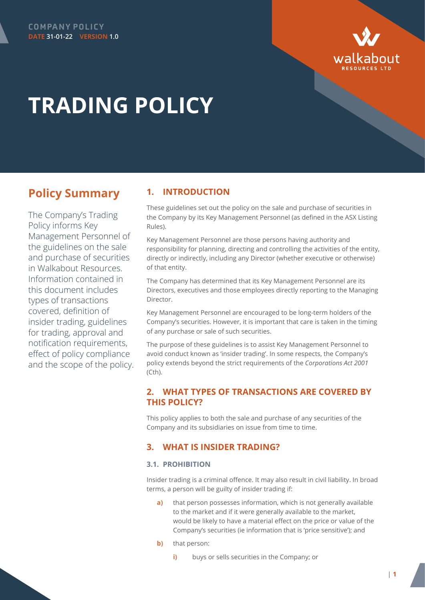



# **TRADING POLICY**

# **Policy Summary**

The Company's Trading Policy informs Key Management Personnel of the guidelines on the sale and purchase of securities in Walkabout Resources. Information contained in this document includes types of transactions covered, definition of insider trading, guidelines for trading, approval and notification requirements, effect of policy compliance and the scope of the policy.

# **1. INTRODUCTION**

These guidelines set out the policy on the sale and purchase of securities in the Company by its Key Management Personnel (as defined in the ASX Listing Rules).

Key Management Personnel are those persons having authority and responsibility for planning, directing and controlling the activities of the entity, directly or indirectly, including any Director (whether executive or otherwise) of that entity.

The Company has determined that its Key Management Personnel are its Directors, executives and those employees directly reporting to the Managing Director.

Key Management Personnel are encouraged to be long-term holders of the Company's securities. However, it is important that care is taken in the timing of any purchase or sale of such securities.

The purpose of these guidelines is to assist Key Management Personnel to avoid conduct known as 'insider trading'. In some respects, the Company's policy extends beyond the strict requirements of the *Corporations Act 2001* (Cth).

# **2. WHAT TYPES OF TRANSACTIONS ARE COVERED BY THIS POLICY?**

This policy applies to both the sale and purchase of any securities of the Company and its subsidiaries on issue from time to time.

## **3. WHAT IS INSIDER TRADING?**

#### **3.1. PROHIBITION**

Insider trading is a criminal offence. It may also result in civil liability. In broad terms, a person will be guilty of insider trading if:

- **a)** that person possesses information, which is not generally available to the market and if it were generally available to the market, would be likely to have a material effect on the price or value of the Company's securities (ie information that is 'price sensitive'); and
- **b)** that person:
	- **i)** buys or sells securities in the Company; or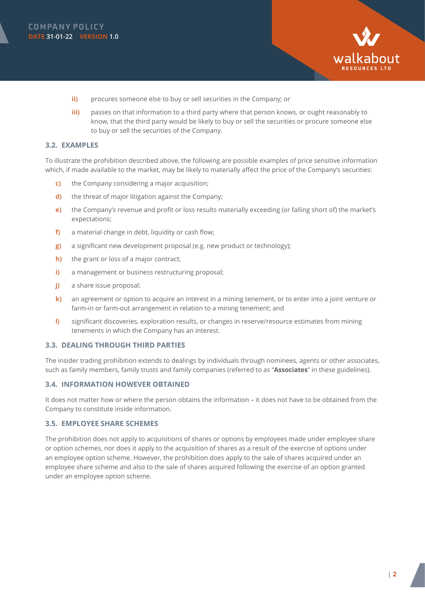



- **ii)** procures someone else to buy or sell securities in the Company; or
- **iii)** passes on that information to a third party where that person knows, or ought reasonably to know, that the third party would be likely to buy or sell the securities or procure someone else to buy or sell the securities of the Company.

#### **3.2. EXAMPLES**

To illustrate the prohibition described above, the following are possible examples of price sensitive information which, if made available to the market, may be likely to materially affect the price of the Company's securities:

- **c)** the Company considering a major acquisition;
- **d)** the threat of major litigation against the Company;
- **e)** the Company's revenue and profit or loss results materially exceeding (or falling short of) the market's expectations;
- **f)** a material change in debt, liquidity or cash flow;
- **g)** a significant new development proposal (e.g. new product or technology);
- **h)** the grant or loss of a major contract;
- **i)** a management or business restructuring proposal;
- **j)** a share issue proposal;
- **k)** an agreement or option to acquire an interest in a mining tenement, or to enter into a joint venture or farm-in or farm-out arrangement in relation to a mining tenement; and
- **l)** significant discoveries, exploration results, or changes in reserve/resource estimates from mining tenements in which the Company has an interest.

#### **3.3. DEALING THROUGH THIRD PARTIES**

The insider trading prohibition extends to dealings by individuals through nominees, agents or other associates, such as family members, family trusts and family companies (referred to as "**Associates**" in these guidelines).

#### **3.4. INFORMATION HOWEVER OBTAINED**

It does not matter how or where the person obtains the information – it does not have to be obtained from the Company to constitute inside information.

#### **3.5. EMPLOYEE SHARE SCHEMES**

The prohibition does not apply to acquisitions of shares or options by employees made under employee share or option schemes, nor does it apply to the acquisition of shares as a result of the exercise of options under an employee option scheme. However, the prohibition does apply to the sale of shares acquired under an employee share scheme and also to the sale of shares acquired following the exercise of an option granted under an employee option scheme.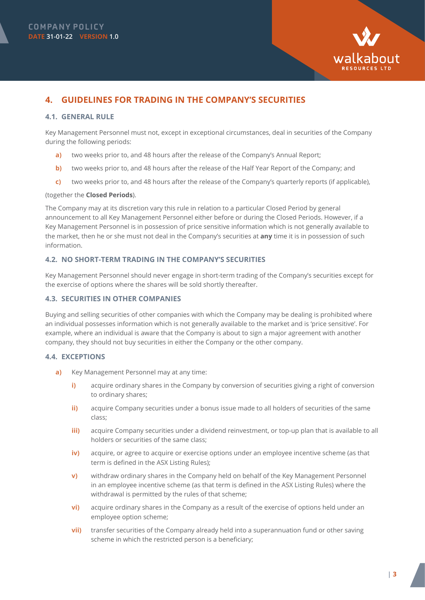

# **4. GUIDELINES FOR TRADING IN THE COMPANY'S SECURITIES**

#### <span id="page-2-0"></span>**4.1. GENERAL RULE**

Key Management Personnel must not, except in exceptional circumstances, deal in securities of the Company during the following periods:

- **a)** two weeks prior to, and 48 hours after the release of the Company's Annual Report;
- **b)** two weeks prior to, and 48 hours after the release of the Half Year Report of the Company; and
- **c)** two weeks prior to, and 48 hours after the release of the Company's quarterly reports (if applicable),

#### (together the **Closed Periods**).

The Company may at its discretion vary this rule in relation to a particular Closed Period by general announcement to all Key Management Personnel either before or during the Closed Periods. However, if a Key Management Personnel is in possession of price sensitive information which is not generally available to the market, then he or she must not deal in the Company's securities at **any** time it is in possession of such information.

#### **4.2. NO SHORT-TERM TRADING IN THE COMPANY'S SECURITIES**

Key Management Personnel should never engage in short-term trading of the Company's securities except for the exercise of options where the shares will be sold shortly thereafter.

#### **4.3. SECURITIES IN OTHER COMPANIES**

Buying and selling securities of other companies with which the Company may be dealing is prohibited where an individual possesses information which is not generally available to the market and is 'price sensitive'. For example, where an individual is aware that the Company is about to sign a major agreement with another company, they should not buy securities in either the Company or the other company.

#### **4.4. EXCEPTIONS**

- **a)** Key Management Personnel may at any time:
	- **i)** acquire ordinary shares in the Company by conversion of securities giving a right of conversion to ordinary shares;
	- **ii)** acquire Company securities under a bonus issue made to all holders of securities of the same class;
	- **iii)** acquire Company securities under a dividend reinvestment, or top-up plan that is available to all holders or securities of the same class;
	- **iv)** acquire, or agree to acquire or exercise options under an employee incentive scheme (as that term is defined in the ASX Listing Rules);
	- **v)** withdraw ordinary shares in the Company held on behalf of the Key Management Personnel in an employee incentive scheme (as that term is defined in the ASX Listing Rules) where the withdrawal is permitted by the rules of that scheme;
	- **vi)** acquire ordinary shares in the Company as a result of the exercise of options held under an employee option scheme;
	- **vii)** transfer securities of the Company already held into a superannuation fund or other saving scheme in which the restricted person is a beneficiary;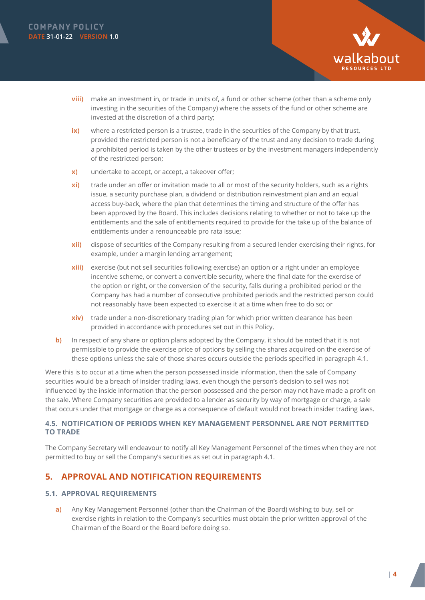



- **viii)** make an investment in, or trade in units of, a fund or other scheme (other than a scheme only investing in the securities of the Company) where the assets of the fund or other scheme are invested at the discretion of a third party;
- **ix)** where a restricted person is a trustee, trade in the securities of the Company by that trust, provided the restricted person is not a beneficiary of the trust and any decision to trade during a prohibited period is taken by the other trustees or by the investment managers independently of the restricted person;
- **x)** undertake to accept, or accept, a takeover offer;
- **xi)** trade under an offer or invitation made to all or most of the security holders, such as a rights issue, a security purchase plan, a dividend or distribution reinvestment plan and an equal access buy-back, where the plan that determines the timing and structure of the offer has been approved by the Board. This includes decisions relating to whether or not to take up the entitlements and the sale of entitlements required to provide for the take up of the balance of entitlements under a renounceable pro rata issue;
- **xii)** dispose of securities of the Company resulting from a secured lender exercising their rights, for example, under a margin lending arrangement;
- **xiii)** exercise (but not sell securities following exercise) an option or a right under an employee incentive scheme, or convert a convertible security, where the final date for the exercise of the option or right, or the conversion of the security, falls during a prohibited period or the Company has had a number of consecutive prohibited periods and the restricted person could not reasonably have been expected to exercise it at a time when free to do so; or
- **xiv)** trade under a non-discretionary trading plan for which prior written clearance has been provided in accordance with procedures set out in this Policy.
- **b)** In respect of any share or option plans adopted by the Company, it should be noted that it is not permissible to provide the exercise price of options by selling the shares acquired on the exercise of these options unless the sale of those shares occurs outside the periods specified in paragraph [4.1](#page-2-0).

Were this is to occur at a time when the person possessed inside information, then the sale of Company securities would be a breach of insider trading laws, even though the person's decision to sell was not influenced by the inside information that the person possessed and the person may not have made a profit on the sale. Where Company securities are provided to a lender as security by way of mortgage or charge, a sale that occurs under that mortgage or charge as a consequence of default would not breach insider trading laws.

#### **4.5. NOTIFICATION OF PERIODS WHEN KEY MANAGEMENT PERSONNEL ARE NOT PERMITTED TO TRADE**

The Company Secretary will endeavour to notify all Key Management Personnel of the times when they are not permitted to buy or sell the Company's securities as set out in paragraph [4.1.](#page-2-0)

# **5. APPROVAL AND NOTIFICATION REQUIREMENTS**

#### **5.1. APPROVAL REQUIREMENTS**

<span id="page-3-0"></span>**a)** Any Key Management Personnel (other than the Chairman of the Board) wishing to buy, sell or exercise rights in relation to the Company's securities must obtain the prior written approval of the Chairman of the Board or the Board before doing so.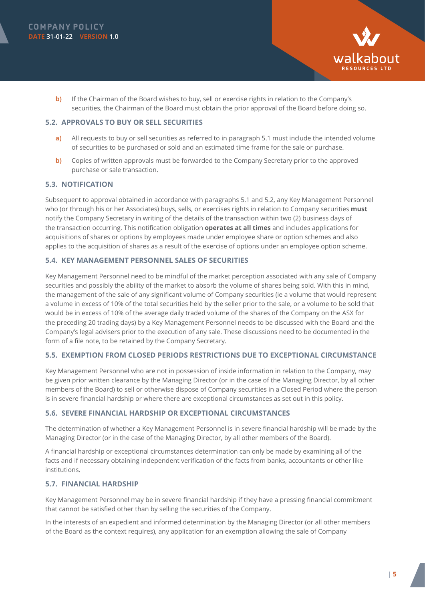



**b)** If the Chairman of the Board wishes to buy, sell or exercise rights in relation to the Company's securities, the Chairman of the Board must obtain the prior approval of the Board before doing so.

#### **5.2. APPROVALS TO BUY OR SELL SECURITIES**

- <span id="page-4-0"></span>**a)** All requests to buy or sell securities as referred to in paragraph [5.1](#page-3-0) must include the intended volume of securities to be purchased or sold and an estimated time frame for the sale or purchase.
- **b)** Copies of written approvals must be forwarded to the Company Secretary prior to the approved purchase or sale transaction.

#### **5.3. NOTIFICATION**

Subsequent to approval obtained in accordance with paragraphs [5.1](#page-3-0) and [5.2](#page-4-0), any Key Management Personnel who (or through his or her Associates) buys, sells, or exercises rights in relation to Company securities **must** notify the Company Secretary in writing of the details of the transaction within two (2) business days of the transaction occurring. This notification obligation **operates at all times** and includes applications for acquisitions of shares or options by employees made under employee share or option schemes and also applies to the acquisition of shares as a result of the exercise of options under an employee option scheme.

#### **5.4. KEY MANAGEMENT PERSONNEL SALES OF SECURITIES**

Key Management Personnel need to be mindful of the market perception associated with any sale of Company securities and possibly the ability of the market to absorb the volume of shares being sold. With this in mind, the management of the sale of any significant volume of Company securities (ie a volume that would represent a volume in excess of 10% of the total securities held by the seller prior to the sale, or a volume to be sold that would be in excess of 10% of the average daily traded volume of the shares of the Company on the ASX for the preceding 20 trading days) by a Key Management Personnel needs to be discussed with the Board and the Company's legal advisers prior to the execution of any sale. These discussions need to be documented in the form of a file note, to be retained by the Company Secretary.

#### **5.5. EXEMPTION FROM CLOSED PERIODS RESTRICTIONS DUE TO EXCEPTIONAL CIRCUMSTANCE**

Key Management Personnel who are not in possession of inside information in relation to the Company, may be given prior written clearance by the Managing Director (or in the case of the Managing Director, by all other members of the Board) to sell or otherwise dispose of Company securities in a Closed Period where the person is in severe financial hardship or where there are exceptional circumstances as set out in this policy.

#### **5.6. SEVERE FINANCIAL HARDSHIP OR EXCEPTIONAL CIRCUMSTANCES**

The determination of whether a Key Management Personnel is in severe financial hardship will be made by the Managing Director (or in the case of the Managing Director, by all other members of the Board).

A financial hardship or exceptional circumstances determination can only be made by examining all of the facts and if necessary obtaining independent verification of the facts from banks, accountants or other like institutions.

#### **5.7. FINANCIAL HARDSHIP**

Key Management Personnel may be in severe financial hardship if they have a pressing financial commitment that cannot be satisfied other than by selling the securities of the Company.

In the interests of an expedient and informed determination by the Managing Director (or all other members of the Board as the context requires), any application for an exemption allowing the sale of Company